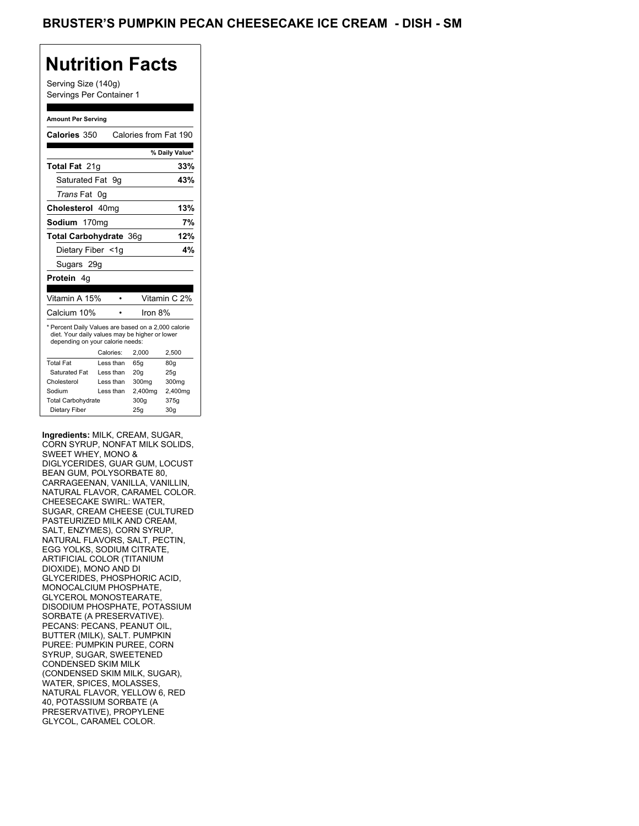Serving Size (140g) Servings Per Container 1

#### **Amount Per Serving**

| Calories 350                                                                                                                              |    |           | Calories from Fat 190 |                 |
|-------------------------------------------------------------------------------------------------------------------------------------------|----|-----------|-----------------------|-----------------|
|                                                                                                                                           |    |           |                       | % Daily Value*  |
| <b>Total Fat 21g</b>                                                                                                                      |    |           |                       | 33%             |
| Saturated Fat 9q                                                                                                                          |    |           |                       | 43%             |
| <i>Trans</i> Fat                                                                                                                          | 0g |           |                       |                 |
| Cholesterol 40mg                                                                                                                          |    |           |                       | 13%             |
| Sodium 170mg                                                                                                                              |    |           |                       | 7%              |
| Total Carbohydrate 36g                                                                                                                    |    |           |                       | 12%             |
| Dietary Fiber <1g                                                                                                                         |    |           |                       | 4%              |
| Sugars 29g                                                                                                                                |    |           |                       |                 |
| Protein<br>4g                                                                                                                             |    |           |                       |                 |
|                                                                                                                                           |    |           |                       |                 |
| Vitamin A 15%                                                                                                                             |    |           |                       | Vitamin C 2%    |
| Calcium 10%                                                                                                                               |    |           | Iron 8%               |                 |
| * Percent Daily Values are based on a 2,000 calorie<br>diet. Your daily values may be higher or lower<br>depending on your calorie needs: |    |           |                       |                 |
|                                                                                                                                           |    | Calories: | 2.000                 | 2,500           |
| <b>Total Fat</b>                                                                                                                          |    | Less than | 65q                   | 80q             |
| Saturated Fat                                                                                                                             |    | Less than | 20 <sub>q</sub>       | 25q             |
| Cholesterol                                                                                                                               |    | Less than | 300mg                 | 300mg           |
| Sodium                                                                                                                                    |    | Less than | 2,400mg               | 2,400mg         |
| <b>Total Carbohydrate</b>                                                                                                                 |    |           | 300g                  | 375g            |
| Dietary Fiber                                                                                                                             |    |           | 25q                   | 30 <sub>q</sub> |

**Ingredients:** MILK, CREAM, SUGAR, CORN SYRUP, NONFAT MILK SOLIDS, SWEET WHEY, MONO & DIGLYCERIDES, GUAR GUM, LOCUST BEAN GUM, POLYSORBATE 80, CARRAGEENAN, VANILLA, VANILLIN, NATURAL FLAVOR, CARAMEL COLOR. CHEESECAKE SWIRL: WATER, SUGAR, CREAM CHEESE (CULTURED PASTEURIZED MILK AND CREAM, SALT, ENZYMES), CORN SYRUP, NATURAL FLAVORS, SALT, PECTIN, EGG YOLKS, SODIUM CITRATE, ARTIFICIAL COLOR (TITANIUM DIOXIDE), MONO AND DI GLYCERIDES, PHOSPHORIC ACID, MONOCALCIUM PHOSPHATE, GLYCEROL MONOSTEARATE, DISODIUM PHOSPHATE, POTASSIUM SORBATE (A PRESERVATIVE). PECANS: PECANS, PEANUT OIL, BUTTER (MILK), SALT. PUMPKIN PUREE: PUMPKIN PUREE, CORN SYRUP, SUGAR, SWEETENED CONDENSED SKIM MILK (CONDENSED SKIM MILK, SUGAR), WATER, SPICES, MOLASSES, NATURAL FLAVOR, YELLOW 6, RED 40, POTASSIUM SORBATE (A PRESERVATIVE), PROPYLENE GLYCOL, CARAMEL COLOR.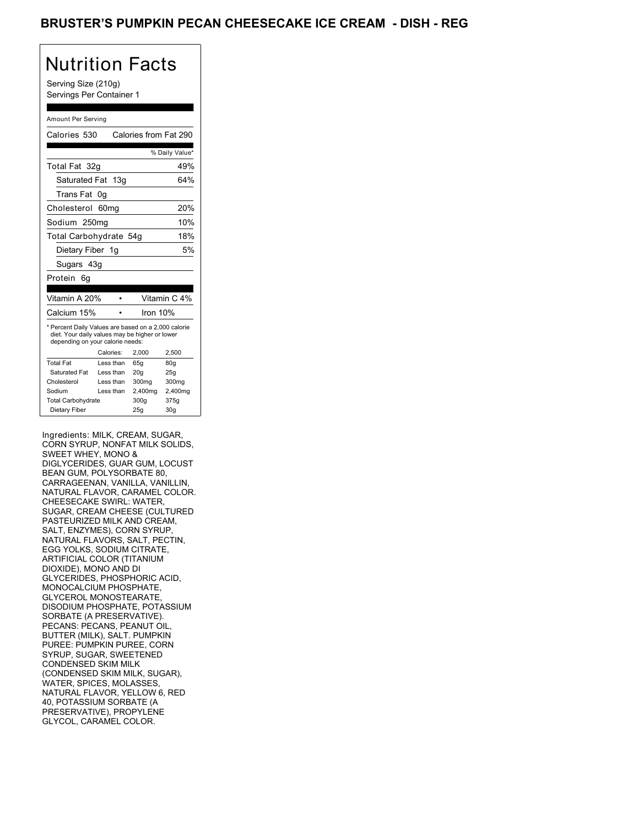Serving Size (210g) Servings Per Container 1

#### Amount Per Serving

| Calories 530                                                                                                                              |           |                 | Calories from Fat 290 |
|-------------------------------------------------------------------------------------------------------------------------------------------|-----------|-----------------|-----------------------|
|                                                                                                                                           |           |                 | % Daily Value*        |
| Total Fat 32q                                                                                                                             |           |                 | 49%                   |
| Saturated Fat 13q                                                                                                                         |           |                 | 64%                   |
| Trans Fat                                                                                                                                 | 0g        |                 |                       |
| Cholesterol 60mg                                                                                                                          |           |                 | 20%                   |
| Sodium 250mg                                                                                                                              |           |                 | 10%                   |
| Total Carbohydrate 54g                                                                                                                    |           |                 | 18%                   |
| Dietary Fiber 1g                                                                                                                          |           |                 | 5%                    |
| Sugars 43g                                                                                                                                |           |                 |                       |
| Protein<br>6g                                                                                                                             |           |                 |                       |
|                                                                                                                                           |           |                 |                       |
| Vitamin A 20%                                                                                                                             |           |                 | Vitamin C 4%          |
| Calcium 15%                                                                                                                               |           |                 | Iron 10%              |
| * Percent Daily Values are based on a 2,000 calorie<br>diet. Your daily values may be higher or lower<br>depending on your calorie needs: |           |                 |                       |
|                                                                                                                                           | Calories: | 2,000           | 2,500                 |
| <b>Total Fat</b>                                                                                                                          | Less than | 65q             | 80q                   |
| Saturated Fat                                                                                                                             | Less than | 20 <sub>g</sub> | 25g                   |
| Cholesterol                                                                                                                               | Less than | 300mg           | 300mg                 |
| Sodium                                                                                                                                    | Less than | 2,400mg         | 2,400mg               |
| <b>Total Carbohydrate</b>                                                                                                                 |           | 300a            | 375g                  |
| Dietary Fiber                                                                                                                             |           | 25g             | 30 <sub>q</sub>       |

Ingredients: MILK, CREAM, SUGAR, CORN SYRUP, NONFAT MILK SOLIDS, SWEET WHEY, MONO & DIGLYCERIDES, GUAR GUM, LOCUST BEAN GUM, POLYSORBATE 80, CARRAGEENAN, VANILLA, VANILLIN, NATURAL FLAVOR, CARAMEL COLOR. CHEESECAKE SWIRL: WATER, SUGAR, CREAM CHEESE (CULTURED PASTEURIZED MILK AND CREAM, SALT, ENZYMES), CORN SYRUP, NATURAL FLAVORS, SALT, PECTIN, EGG YOLKS, SODIUM CITRATE, ARTIFICIAL COLOR (TITANIUM DIOXIDE), MONO AND DI GLYCERIDES, PHOSPHORIC ACID, MONOCALCIUM PHOSPHATE, GLYCEROL MONOSTEARATE, DISODIUM PHOSPHATE, POTASSIUM SORBATE (A PRESERVATIVE). PECANS: PECANS, PEANUT OIL, BUTTER (MILK), SALT. PUMPKIN PUREE: PUMPKIN PUREE, CORN SYRUP, SUGAR, SWEETENED CONDENSED SKIM MILK (CONDENSED SKIM MILK, SUGAR), WATER, SPICES, MOLASSES, NATURAL FLAVOR, YELLOW 6, RED 40, POTASSIUM SORBATE (A PRESERVATIVE), PROPYLENE GLYCOL, CARAMEL COLOR.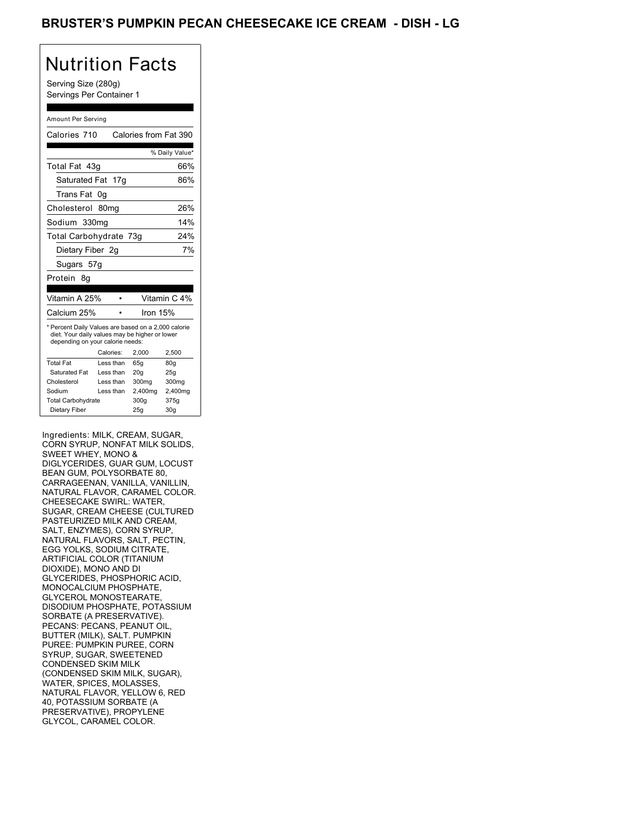Serving Size (280g) Servings Per Container 1

#### Amount Per Serving

| Calories 710                                                                                                                              |           | Calories from Fat 390 |                 |
|-------------------------------------------------------------------------------------------------------------------------------------------|-----------|-----------------------|-----------------|
|                                                                                                                                           |           |                       | % Daily Value*  |
| Total Fat 43q                                                                                                                             |           |                       | 66%             |
| Saturated Fat 17g                                                                                                                         |           |                       | 86%             |
| Trans Fat                                                                                                                                 | 0g        |                       |                 |
| Cholesterol 80mg                                                                                                                          |           |                       | 26%             |
| Sodium 330mg                                                                                                                              |           |                       | 14%             |
| Total Carbohydrate 73g                                                                                                                    |           |                       | 24%             |
| Dietary Fiber 2g                                                                                                                          |           |                       | 7%              |
| Sugars 57g                                                                                                                                |           |                       |                 |
| Protein<br>8g                                                                                                                             |           |                       |                 |
|                                                                                                                                           |           |                       |                 |
| Vitamin A 25%                                                                                                                             |           |                       | Vitamin C 4%    |
| Calcium 25%                                                                                                                               |           | Iron 15%              |                 |
| * Percent Daily Values are based on a 2,000 calorie<br>diet. Your daily values may be higher or lower<br>depending on your calorie needs: |           |                       |                 |
|                                                                                                                                           | Calories: | 2,000                 | 2,500           |
| <b>Total Fat</b>                                                                                                                          | Less than | 65q                   | 80q             |
| Saturated Fat                                                                                                                             | Less than | 20q                   | 25g             |
| Cholesterol                                                                                                                               | Less than | 300mg                 | 300mg           |
| Sodium                                                                                                                                    | Less than | 2,400mg               | 2,400mg         |
| <b>Total Carbohydrate</b>                                                                                                                 |           | 300q                  | 375g            |
| Dietary Fiber                                                                                                                             |           | 25q                   | 30 <sub>q</sub> |

Ingredients: MILK, CREAM, SUGAR, CORN SYRUP, NONFAT MILK SOLIDS, SWEET WHEY, MONO & DIGLYCERIDES, GUAR GUM, LOCUST BEAN GUM, POLYSORBATE 80, CARRAGEENAN, VANILLA, VANILLIN, NATURAL FLAVOR, CARAMEL COLOR. CHEESECAKE SWIRL: WATER, SUGAR, CREAM CHEESE (CULTURED PASTEURIZED MILK AND CREAM, SALT, ENZYMES), CORN SYRUP, NATURAL FLAVORS, SALT, PECTIN, EGG YOLKS, SODIUM CITRATE, ARTIFICIAL COLOR (TITANIUM DIOXIDE), MONO AND DI GLYCERIDES, PHOSPHORIC ACID, MONOCALCIUM PHOSPHATE, GLYCEROL MONOSTEARATE, DISODIUM PHOSPHATE, POTASSIUM SORBATE (A PRESERVATIVE). PECANS: PECANS, PEANUT OIL, BUTTER (MILK), SALT. PUMPKIN PUREE: PUMPKIN PUREE, CORN SYRUP, SUGAR, SWEETENED CONDENSED SKIM MILK (CONDENSED SKIM MILK, SUGAR), WATER, SPICES, MOLASSES, NATURAL FLAVOR, YELLOW 6, RED 40, POTASSIUM SORBATE (A PRESERVATIVE), PROPYLENE GLYCOL, CARAMEL COLOR.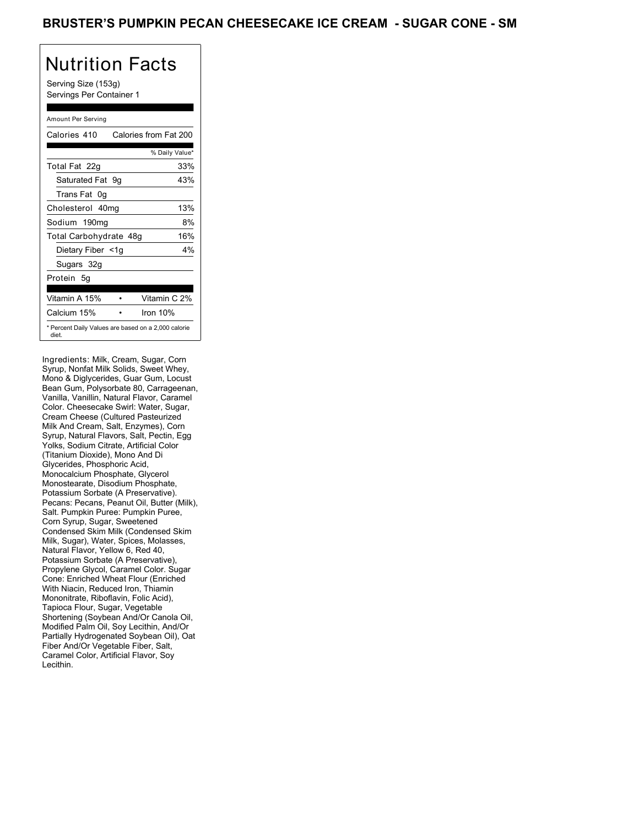Serving Size (153g) Servings Per Container 1

### Amount Per Serving

| Calories 410           | Calories from Fat 200                               |
|------------------------|-----------------------------------------------------|
|                        | % Daily Value*                                      |
| Total Fat 22g          | 33%                                                 |
| Saturated Fat 9q       | 43%                                                 |
| Trans Fat 0q           |                                                     |
| Cholesterol 40mg       | 13%                                                 |
| Sodium 190mg           | 8%                                                  |
| Total Carbohydrate 48g | 16%                                                 |
| Dietary Fiber <1g      | 4%                                                  |
| Sugars 32g             |                                                     |
| Protein 5q             |                                                     |
|                        |                                                     |
| Vitamin A 15%          | Vitamin C 2%                                        |
| Calcium 15%            | Iron 10%                                            |
| diet.                  | * Percent Daily Values are based on a 2,000 calorie |

Ingredients: Milk, Cream, Sugar, Corn Syrup, Nonfat Milk Solids, Sweet Whey, Mono & Diglycerides, Guar Gum, Locust Bean Gum, Polysorbate 80, Carrageenan, Vanilla, Vanillin, Natural Flavor, Caramel Color. Cheesecake Swirl: Water, Sugar, Cream Cheese (Cultured Pasteurized Milk And Cream, Salt, Enzymes), Corn Syrup, Natural Flavors, Salt, Pectin, Egg Yolks, Sodium Citrate, Artificial Color (Titanium Dioxide), Mono And Di Glycerides, Phosphoric Acid, Monocalcium Phosphate, Glycerol Monostearate, Disodium Phosphate, Potassium Sorbate (A Preservative). Pecans: Pecans, Peanut Oil, Butter (Milk), Salt. Pumpkin Puree: Pumpkin Puree, Corn Syrup, Sugar, Sweetened Condensed Skim Milk (Condensed Skim Milk, Sugar), Water, Spices, Molasses, Natural Flavor, Yellow 6, Red 40, Potassium Sorbate (A Preservative), Propylene Glycol, Caramel Color. Sugar Cone: Enriched Wheat Flour (Enriched With Niacin, Reduced Iron, Thiamin Mononitrate, Riboflavin, Folic Acid), Tapioca Flour, Sugar, Vegetable Shortening (Soybean And/Or Canola Oil, Modified Palm Oil, Soy Lecithin, And/Or Partially Hydrogenated Soybean Oil), Oat Fiber And/Or Vegetable Fiber, Salt, Caramel Color, Artificial Flavor, Soy Lecithin.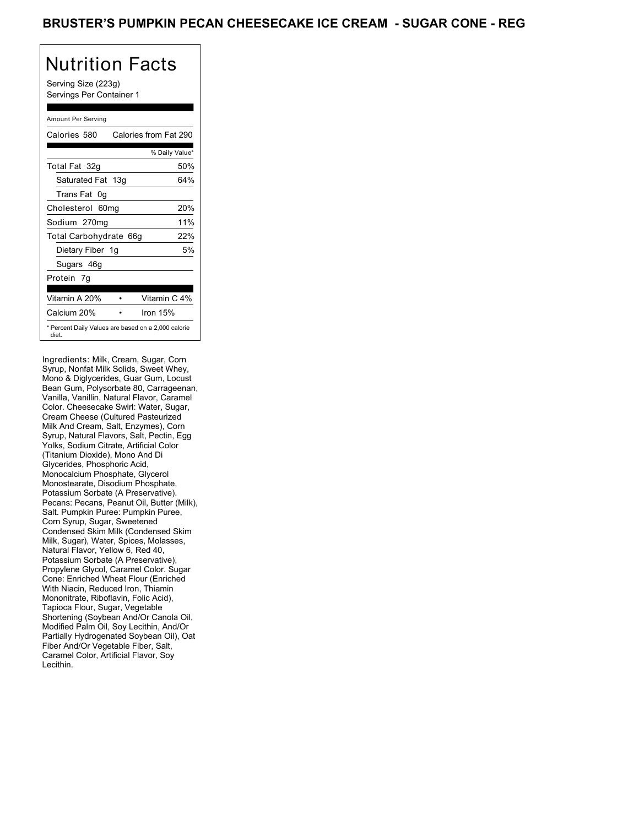Serving Size (223g) Servings Per Container 1

#### Amount Per Serving

| Calories 580                                                 | Calories from Fat 290 |
|--------------------------------------------------------------|-----------------------|
|                                                              | % Daily Value*        |
| Total Fat 32g                                                | 50%                   |
| Saturated Fat 13g                                            | 64%                   |
| Trans Fat 0q                                                 |                       |
| Cholesterol 60mg                                             | 20%                   |
| Sodium 270mg                                                 | 11%                   |
| Total Carbohydrate 66g                                       | 22%                   |
| Dietary Fiber 1g                                             | 5%                    |
| Sugars 46g                                                   |                       |
| Protein 7q                                                   |                       |
|                                                              |                       |
| Vitamin A 20%                                                | Vitamin C 4%          |
| Calcium 20%                                                  | Iron $15%$            |
| * Percent Daily Values are based on a 2,000 calorie<br>diet. |                       |

Ingredients: Milk, Cream, Sugar, Corn Syrup, Nonfat Milk Solids, Sweet Whey, Mono & Diglycerides, Guar Gum, Locust Bean Gum, Polysorbate 80, Carrageenan, Vanilla, Vanillin, Natural Flavor, Caramel Color. Cheesecake Swirl: Water, Sugar, Cream Cheese (Cultured Pasteurized Milk And Cream, Salt, Enzymes), Corn Syrup, Natural Flavors, Salt, Pectin, Egg Yolks, Sodium Citrate, Artificial Color (Titanium Dioxide), Mono And Di Glycerides, Phosphoric Acid, Monocalcium Phosphate, Glycerol Monostearate, Disodium Phosphate, Potassium Sorbate (A Preservative). Pecans: Pecans, Peanut Oil, Butter (Milk), Salt. Pumpkin Puree: Pumpkin Puree, Corn Syrup, Sugar, Sweetened Condensed Skim Milk (Condensed Skim Milk, Sugar), Water, Spices, Molasses, Natural Flavor, Yellow 6, Red 40, Potassium Sorbate (A Preservative), Propylene Glycol, Caramel Color. Sugar Cone: Enriched Wheat Flour (Enriched With Niacin, Reduced Iron, Thiamin Mononitrate, Riboflavin, Folic Acid), Tapioca Flour, Sugar, Vegetable Shortening (Soybean And/Or Canola Oil, Modified Palm Oil, Soy Lecithin, And/Or Partially Hydrogenated Soybean Oil), Oat Fiber And/Or Vegetable Fiber, Salt, Caramel Color, Artificial Flavor, Soy Lecithin.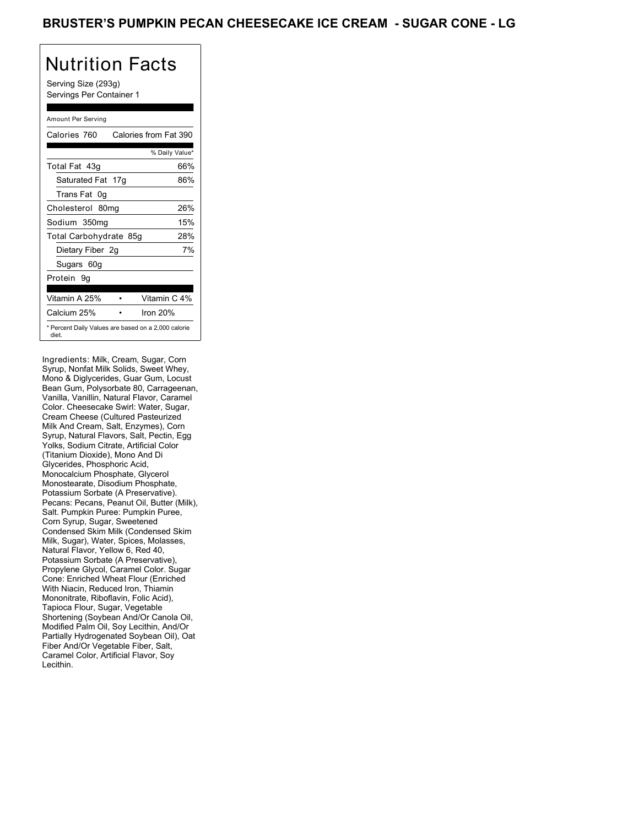Serving Size (293g) Servings Per Container 1

#### Amount Per Serving

| Calories 760           | Calories from Fat 390                               |
|------------------------|-----------------------------------------------------|
|                        | % Daily Value*                                      |
| Total Fat 43q          | 66%                                                 |
| Saturated Fat 17g      | 86%                                                 |
| Trans Fat 0q           |                                                     |
| Cholesterol 80mg       | 26%                                                 |
| Sodium 350mg           | 15%                                                 |
| Total Carbohydrate 85g | 28%                                                 |
| Dietary Fiber 2g       | 7%                                                  |
| Sugars 60g             |                                                     |
| Protein 9q             |                                                     |
|                        |                                                     |
| Vitamin A 25%          | Vitamin C 4%                                        |
| Calcium 25%            | Iron $20%$                                          |
| diet.                  | * Percent Daily Values are based on a 2,000 calorie |

Ingredients: Milk, Cream, Sugar, Corn Syrup, Nonfat Milk Solids, Sweet Whey, Mono & Diglycerides, Guar Gum, Locust Bean Gum, Polysorbate 80, Carrageenan, Vanilla, Vanillin, Natural Flavor, Caramel Color. Cheesecake Swirl: Water, Sugar, Cream Cheese (Cultured Pasteurized Milk And Cream, Salt, Enzymes), Corn Syrup, Natural Flavors, Salt, Pectin, Egg Yolks, Sodium Citrate, Artificial Color (Titanium Dioxide), Mono And Di Glycerides, Phosphoric Acid, Monocalcium Phosphate, Glycerol Monostearate, Disodium Phosphate, Potassium Sorbate (A Preservative). Pecans: Pecans, Peanut Oil, Butter (Milk), Salt. Pumpkin Puree: Pumpkin Puree, Corn Syrup, Sugar, Sweetened Condensed Skim Milk (Condensed Skim Milk, Sugar), Water, Spices, Molasses, Natural Flavor, Yellow 6, Red 40, Potassium Sorbate (A Preservative), Propylene Glycol, Caramel Color. Sugar Cone: Enriched Wheat Flour (Enriched With Niacin, Reduced Iron, Thiamin Mononitrate, Riboflavin, Folic Acid), Tapioca Flour, Sugar, Vegetable Shortening (Soybean And/Or Canola Oil, Modified Palm Oil, Soy Lecithin, And/Or Partially Hydrogenated Soybean Oil), Oat Fiber And/Or Vegetable Fiber, Salt, Caramel Color, Artificial Flavor, Soy Lecithin.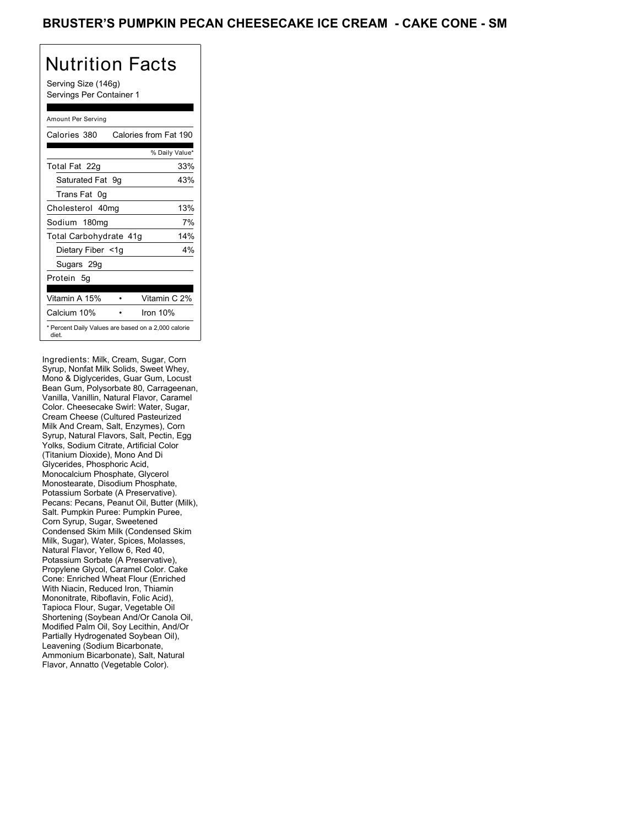Serving Size (146g) Servings Per Container 1

### Amount Per Serving

| Calories 380           | Calories from Fat 190                               |
|------------------------|-----------------------------------------------------|
|                        | % Daily Value*                                      |
| Total Fat 22g          | 33%                                                 |
| Saturated Fat 9q       | 43%                                                 |
| Trans Fat 0q           |                                                     |
| Cholesterol 40mg       | 13%                                                 |
| Sodium 180mg           | 7%                                                  |
| Total Carbohydrate 41g | 14%                                                 |
| Dietary Fiber <1g      | 4%                                                  |
| Sugars 29g             |                                                     |
| Protein 5q             |                                                     |
|                        |                                                     |
| Vitamin A 15%          | Vitamin C 2%                                        |
| Calcium 10%            | Iron 10%                                            |
| diet.                  | * Percent Daily Values are based on a 2,000 calorie |

Ingredients: Milk, Cream, Sugar, Corn Syrup, Nonfat Milk Solids, Sweet Whey, Mono & Diglycerides, Guar Gum, Locust Bean Gum, Polysorbate 80, Carrageenan, Vanilla, Vanillin, Natural Flavor, Caramel Color. Cheesecake Swirl: Water, Sugar, Cream Cheese (Cultured Pasteurized Milk And Cream, Salt, Enzymes), Corn Syrup, Natural Flavors, Salt, Pectin, Egg Yolks, Sodium Citrate, Artificial Color (Titanium Dioxide), Mono And Di Glycerides, Phosphoric Acid, Monocalcium Phosphate, Glycerol Monostearate, Disodium Phosphate, Potassium Sorbate (A Preservative). Pecans: Pecans, Peanut Oil, Butter (Milk), Salt. Pumpkin Puree: Pumpkin Puree, Corn Syrup, Sugar, Sweetened Condensed Skim Milk (Condensed Skim Milk, Sugar), Water, Spices, Molasses, Natural Flavor, Yellow 6, Red 40, Potassium Sorbate (A Preservative), Propylene Glycol, Caramel Color. Cake Cone: Enriched Wheat Flour (Enriched With Niacin, Reduced Iron, Thiamin Mononitrate, Riboflavin, Folic Acid), Tapioca Flour, Sugar, Vegetable Oil Shortening (Soybean And/Or Canola Oil, Modified Palm Oil, Soy Lecithin, And/Or Partially Hydrogenated Soybean Oil), Leavening (Sodium Bicarbonate, Ammonium Bicarbonate), Salt, Natural Flavor, Annatto (Vegetable Color).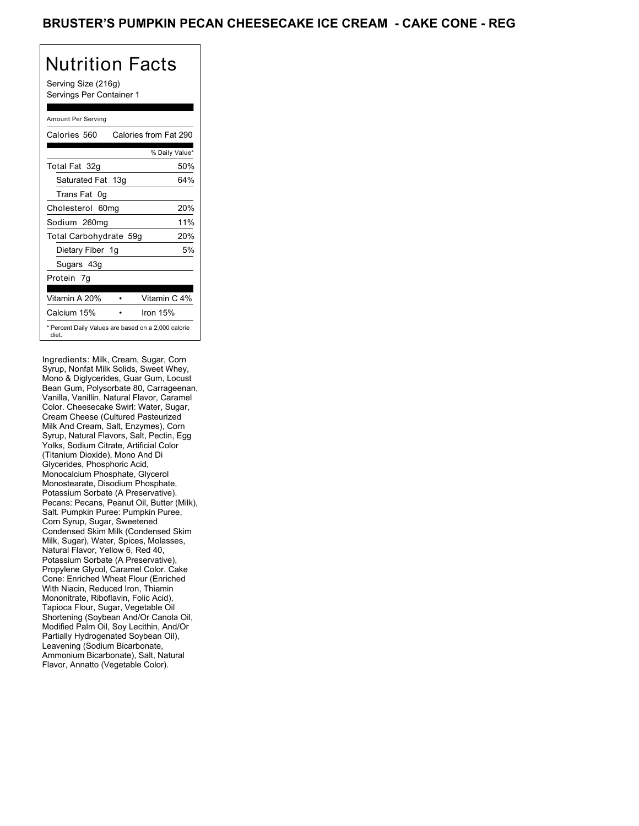Serving Size (216g) Servings Per Container 1

### Amount Per Serving

| Calories 560           | Calories from Fat 290                               |
|------------------------|-----------------------------------------------------|
|                        | % Daily Value*                                      |
| Total Fat 32g          | 50%                                                 |
| Saturated Fat 13g      | 64%                                                 |
| Trans Fat 0q           |                                                     |
| Cholesterol 60mg       | 20%                                                 |
| Sodium 260mg           | 11%                                                 |
| Total Carbohydrate 59g | 20%                                                 |
| Dietary Fiber 1g       | 5%                                                  |
| Sugars 43g             |                                                     |
| Protein 7q             |                                                     |
|                        |                                                     |
| Vitamin A 20%          | Vitamin C 4%                                        |
| Calcium 15%            | Iron $15%$                                          |
| diet.                  | * Percent Daily Values are based on a 2,000 calorie |

Ingredients: Milk, Cream, Sugar, Corn Syrup, Nonfat Milk Solids, Sweet Whey, Mono & Diglycerides, Guar Gum, Locust Bean Gum, Polysorbate 80, Carrageenan, Vanilla, Vanillin, Natural Flavor, Caramel Color. Cheesecake Swirl: Water, Sugar, Cream Cheese (Cultured Pasteurized Milk And Cream, Salt, Enzymes), Corn Syrup, Natural Flavors, Salt, Pectin, Egg Yolks, Sodium Citrate, Artificial Color (Titanium Dioxide), Mono And Di Glycerides, Phosphoric Acid, Monocalcium Phosphate, Glycerol Monostearate, Disodium Phosphate, Potassium Sorbate (A Preservative). Pecans: Pecans, Peanut Oil, Butter (Milk), Salt. Pumpkin Puree: Pumpkin Puree, Corn Syrup, Sugar, Sweetened Condensed Skim Milk (Condensed Skim Milk, Sugar), Water, Spices, Molasses, Natural Flavor, Yellow 6, Red 40, Potassium Sorbate (A Preservative), Propylene Glycol, Caramel Color. Cake Cone: Enriched Wheat Flour (Enriched With Niacin, Reduced Iron, Thiamin Mononitrate, Riboflavin, Folic Acid), Tapioca Flour, Sugar, Vegetable Oil Shortening (Soybean And/Or Canola Oil, Modified Palm Oil, Soy Lecithin, And/Or Partially Hydrogenated Soybean Oil), Leavening (Sodium Bicarbonate, Ammonium Bicarbonate), Salt, Natural Flavor, Annatto (Vegetable Color).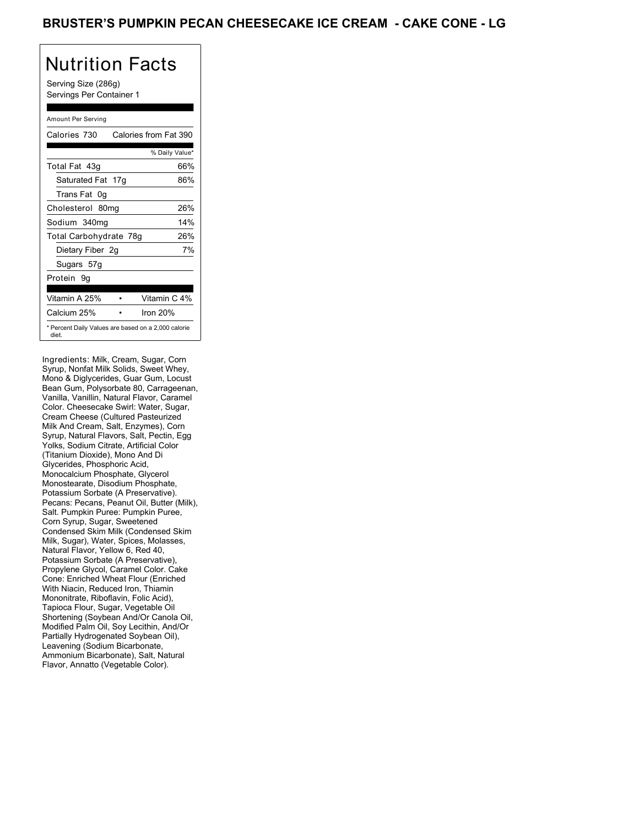Serving Size (286g) Servings Per Container 1

### Amount Per Serving

| Calories 730           | Calories from Fat 390                               |
|------------------------|-----------------------------------------------------|
|                        | % Daily Value*                                      |
| Total Fat 43q          | 66%                                                 |
| Saturated Fat 17g      | 86%                                                 |
| Trans Fat 0q           |                                                     |
| Cholesterol 80mg       | 26%                                                 |
| Sodium 340mg           | 14%                                                 |
| Total Carbohydrate 78g | 26%                                                 |
| Dietary Fiber 2g       | 7%                                                  |
| Sugars 57g             |                                                     |
| Protein 9g             |                                                     |
|                        |                                                     |
| Vitamin A 25%          | Vitamin C 4%                                        |
| Calcium 25%            | Iron 20%                                            |
| diet.                  | * Percent Daily Values are based on a 2,000 calorie |

Ingredients: Milk, Cream, Sugar, Corn Syrup, Nonfat Milk Solids, Sweet Whey, Mono & Diglycerides, Guar Gum, Locust Bean Gum, Polysorbate 80, Carrageenan, Vanilla, Vanillin, Natural Flavor, Caramel Color. Cheesecake Swirl: Water, Sugar, Cream Cheese (Cultured Pasteurized Milk And Cream, Salt, Enzymes), Corn Syrup, Natural Flavors, Salt, Pectin, Egg Yolks, Sodium Citrate, Artificial Color (Titanium Dioxide), Mono And Di Glycerides, Phosphoric Acid, Monocalcium Phosphate, Glycerol Monostearate, Disodium Phosphate, Potassium Sorbate (A Preservative). Pecans: Pecans, Peanut Oil, Butter (Milk), Salt. Pumpkin Puree: Pumpkin Puree, Corn Syrup, Sugar, Sweetened Condensed Skim Milk (Condensed Skim Milk, Sugar), Water, Spices, Molasses, Natural Flavor, Yellow 6, Red 40, Potassium Sorbate (A Preservative), Propylene Glycol, Caramel Color. Cake Cone: Enriched Wheat Flour (Enriched With Niacin, Reduced Iron, Thiamin Mononitrate, Riboflavin, Folic Acid), Tapioca Flour, Sugar, Vegetable Oil Shortening (Soybean And/Or Canola Oil, Modified Palm Oil, Soy Lecithin, And/Or Partially Hydrogenated Soybean Oil), Leavening (Sodium Bicarbonate, Ammonium Bicarbonate), Salt, Natural Flavor, Annatto (Vegetable Color).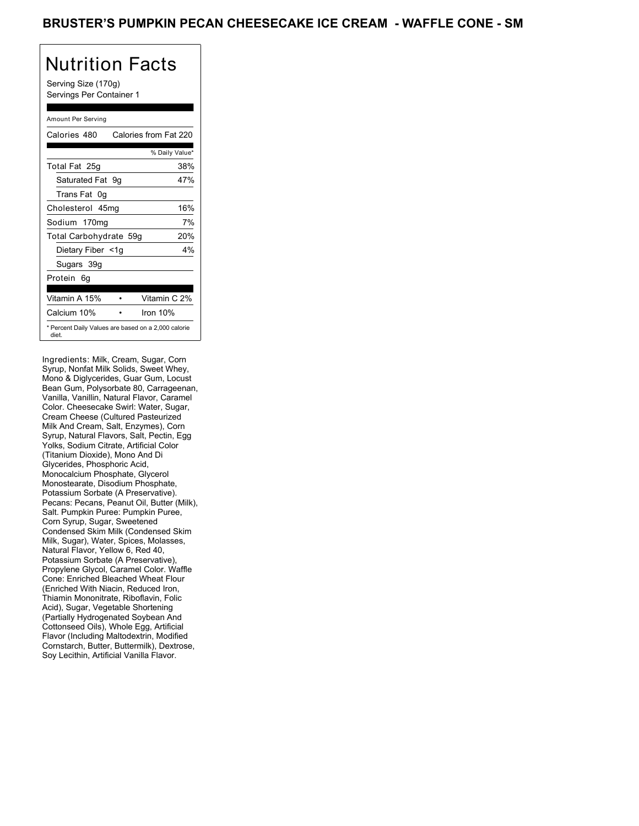Serving Size (170g) Servings Per Container 1

#### Amount Per Serving

| Calories 480           | Calories from Fat 220                               |
|------------------------|-----------------------------------------------------|
|                        | % Daily Value*                                      |
| Total Fat 25g          | 38%                                                 |
| Saturated Fat 9q       | 47%                                                 |
| Trans Fat 0q           |                                                     |
| Cholesterol 45mg       | 16%                                                 |
| Sodium 170mg           | 7%                                                  |
| Total Carbohydrate 59g | 20%                                                 |
| Dietary Fiber <1g      | 4%                                                  |
| Sugars 39g             |                                                     |
| Protein 6q             |                                                     |
|                        |                                                     |
| Vitamin A 15%          | Vitamin C 2%                                        |
| Calcium 10%            | Iron 10%                                            |
| diet.                  | * Percent Daily Values are based on a 2,000 calorie |

Ingredients: Milk, Cream, Sugar, Corn Syrup, Nonfat Milk Solids, Sweet Whey, Mono & Diglycerides, Guar Gum, Locust Bean Gum, Polysorbate 80, Carrageenan, Vanilla, Vanillin, Natural Flavor, Caramel Color. Cheesecake Swirl: Water, Sugar, Cream Cheese (Cultured Pasteurized Milk And Cream, Salt, Enzymes), Corn Syrup, Natural Flavors, Salt, Pectin, Egg Yolks, Sodium Citrate, Artificial Color (Titanium Dioxide), Mono And Di Glycerides, Phosphoric Acid, Monocalcium Phosphate, Glycerol Monostearate, Disodium Phosphate, Potassium Sorbate (A Preservative). Pecans: Pecans, Peanut Oil, Butter (Milk), Salt. Pumpkin Puree: Pumpkin Puree, Corn Syrup, Sugar, Sweetened Condensed Skim Milk (Condensed Skim Milk, Sugar), Water, Spices, Molasses, Natural Flavor, Yellow 6, Red 40, Potassium Sorbate (A Preservative), Propylene Glycol, Caramel Color. Waffle Cone: Enriched Bleached Wheat Flour (Enriched With Niacin, Reduced Iron, Thiamin Mononitrate, Riboflavin, Folic Acid), Sugar, Vegetable Shortening (Partially Hydrogenated Soybean And Cottonseed Oils), Whole Egg, Artificial Flavor (Including Maltodextrin, Modified Cornstarch, Butter, Buttermilk), Dextrose, Soy Lecithin, Artificial Vanilla Flavor.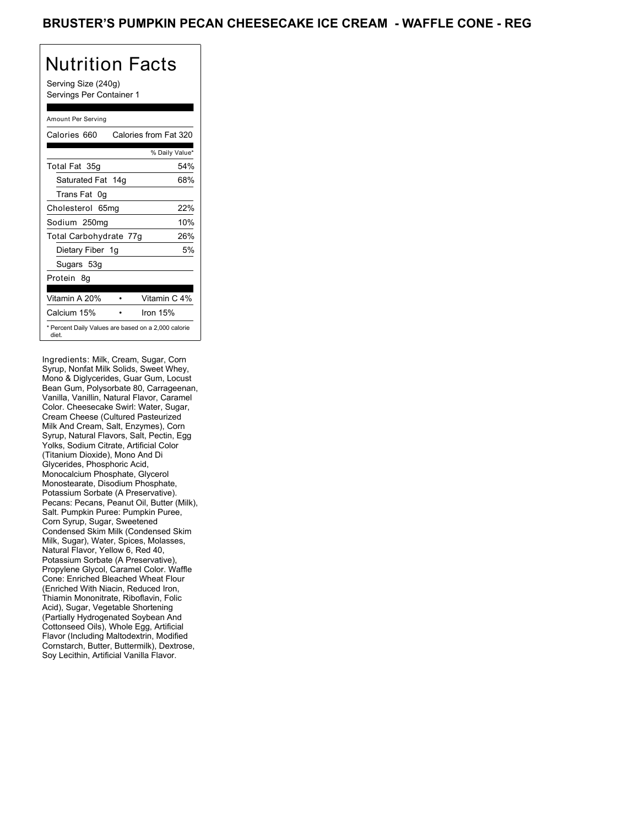Serving Size (240g) Servings Per Container 1

### Amount Per Serving

| Calories 660           | Calories from Fat 320                               |
|------------------------|-----------------------------------------------------|
|                        | % Daily Value*                                      |
| Total Fat 35g          | 54%                                                 |
| Saturated Fat 14g      | 68%                                                 |
| Trans Fat 0q           |                                                     |
| Cholesterol 65mg       | 22%                                                 |
| Sodium 250mg           | 10%                                                 |
| Total Carbohydrate 77g | 26%                                                 |
| Dietary Fiber 1g       | 5%                                                  |
| Sugars 53g             |                                                     |
| Protein 8q             |                                                     |
|                        |                                                     |
| Vitamin A 20%          | Vitamin C 4%                                        |
| Calcium 15%            | Iron $15%$                                          |
| diet.                  | * Percent Daily Values are based on a 2,000 calorie |

Ingredients: Milk, Cream, Sugar, Corn Syrup, Nonfat Milk Solids, Sweet Whey, Mono & Diglycerides, Guar Gum, Locust Bean Gum, Polysorbate 80, Carrageenan, Vanilla, Vanillin, Natural Flavor, Caramel Color. Cheesecake Swirl: Water, Sugar, Cream Cheese (Cultured Pasteurized Milk And Cream, Salt, Enzymes), Corn Syrup, Natural Flavors, Salt, Pectin, Egg Yolks, Sodium Citrate, Artificial Color (Titanium Dioxide), Mono And Di Glycerides, Phosphoric Acid, Monocalcium Phosphate, Glycerol Monostearate, Disodium Phosphate, Potassium Sorbate (A Preservative). Pecans: Pecans, Peanut Oil, Butter (Milk), Salt. Pumpkin Puree: Pumpkin Puree, Corn Syrup, Sugar, Sweetened Condensed Skim Milk (Condensed Skim Milk, Sugar), Water, Spices, Molasses, Natural Flavor, Yellow 6, Red 40, Potassium Sorbate (A Preservative), Propylene Glycol, Caramel Color. Waffle Cone: Enriched Bleached Wheat Flour (Enriched With Niacin, Reduced Iron, Thiamin Mononitrate, Riboflavin, Folic Acid), Sugar, Vegetable Shortening (Partially Hydrogenated Soybean And Cottonseed Oils), Whole Egg, Artificial Flavor (Including Maltodextrin, Modified Cornstarch, Butter, Buttermilk), Dextrose, Soy Lecithin, Artificial Vanilla Flavor.